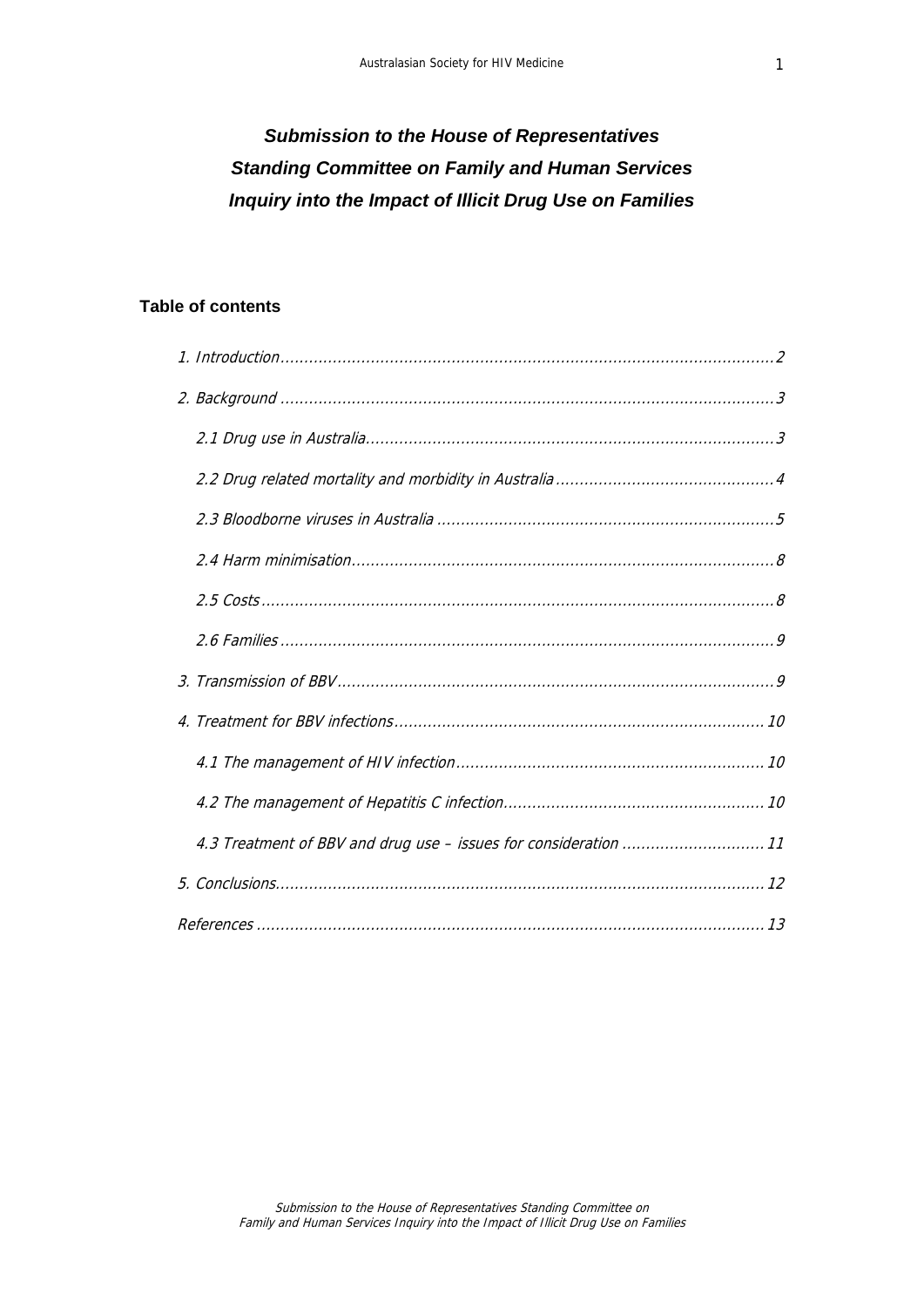# *Submission to the House of Representatives Standing Committee on Family and Human Services Inquiry into the Impact of Illicit Drug Use on Families*

# **Table of contents**

| 4.3 Treatment of BBV and drug use - issues for consideration  11 |  |
|------------------------------------------------------------------|--|
|                                                                  |  |
|                                                                  |  |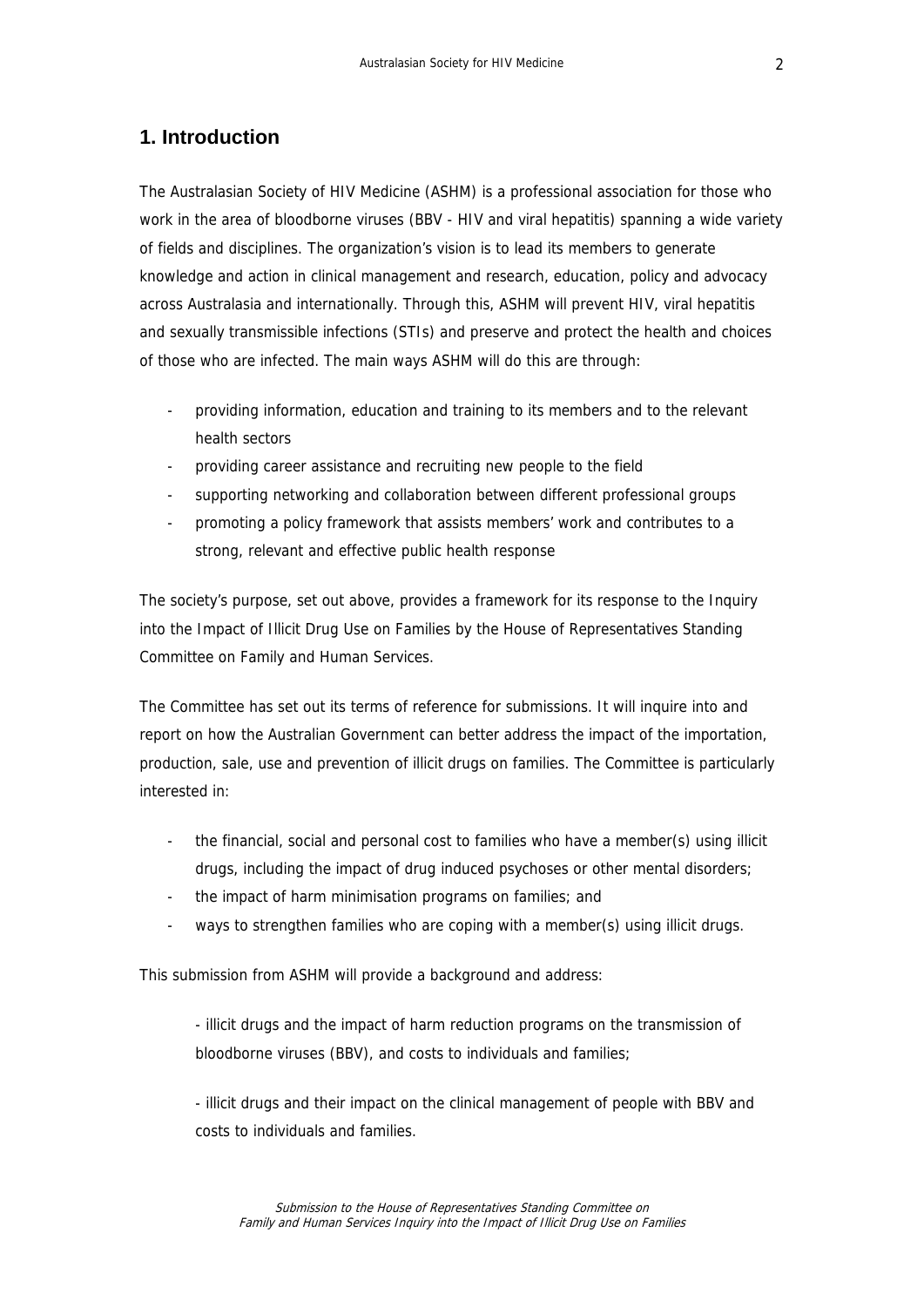# <span id="page-1-0"></span>**1. Introduction**

The Australasian Society of HIV Medicine (ASHM) is a professional association for those who work in the area of bloodborne viruses (BBV - HIV and viral hepatitis) spanning a wide variety of fields and disciplines. The organization's vision is to lead its members to generate knowledge and action in clinical management and research, education, policy and advocacy across Australasia and internationally. Through this, ASHM will prevent HIV, viral hepatitis and sexually transmissible infections (STIs) and preserve and protect the health and choices of those who are infected. The main ways ASHM will do this are through:

- providing information, education and training to its members and to the relevant health sectors
- providing career assistance and recruiting new people to the field
- supporting networking and collaboration between different professional groups
- promoting a policy framework that assists members' work and contributes to a strong, relevant and effective public health response

The society's purpose, set out above, provides a framework for its response to the Inquiry into the Impact of Illicit Drug Use on Families by the House of Representatives Standing Committee on Family and Human Services.

The Committee has set out its terms of reference for submissions. It will inquire into and report on how the Australian Government can better address the impact of the importation, production, sale, use and prevention of illicit drugs on families. The Committee is particularly interested in:

- the financial, social and personal cost to families who have a member(s) using illicit drugs, including the impact of drug induced psychoses or other mental disorders;
- the impact of harm minimisation programs on families; and
- ways to strengthen families who are coping with a member(s) using illicit drugs.

This submission from ASHM will provide a background and address:

- illicit drugs and the impact of harm reduction programs on the transmission of bloodborne viruses (BBV), and costs to individuals and families;

- illicit drugs and their impact on the clinical management of people with BBV and costs to individuals and families.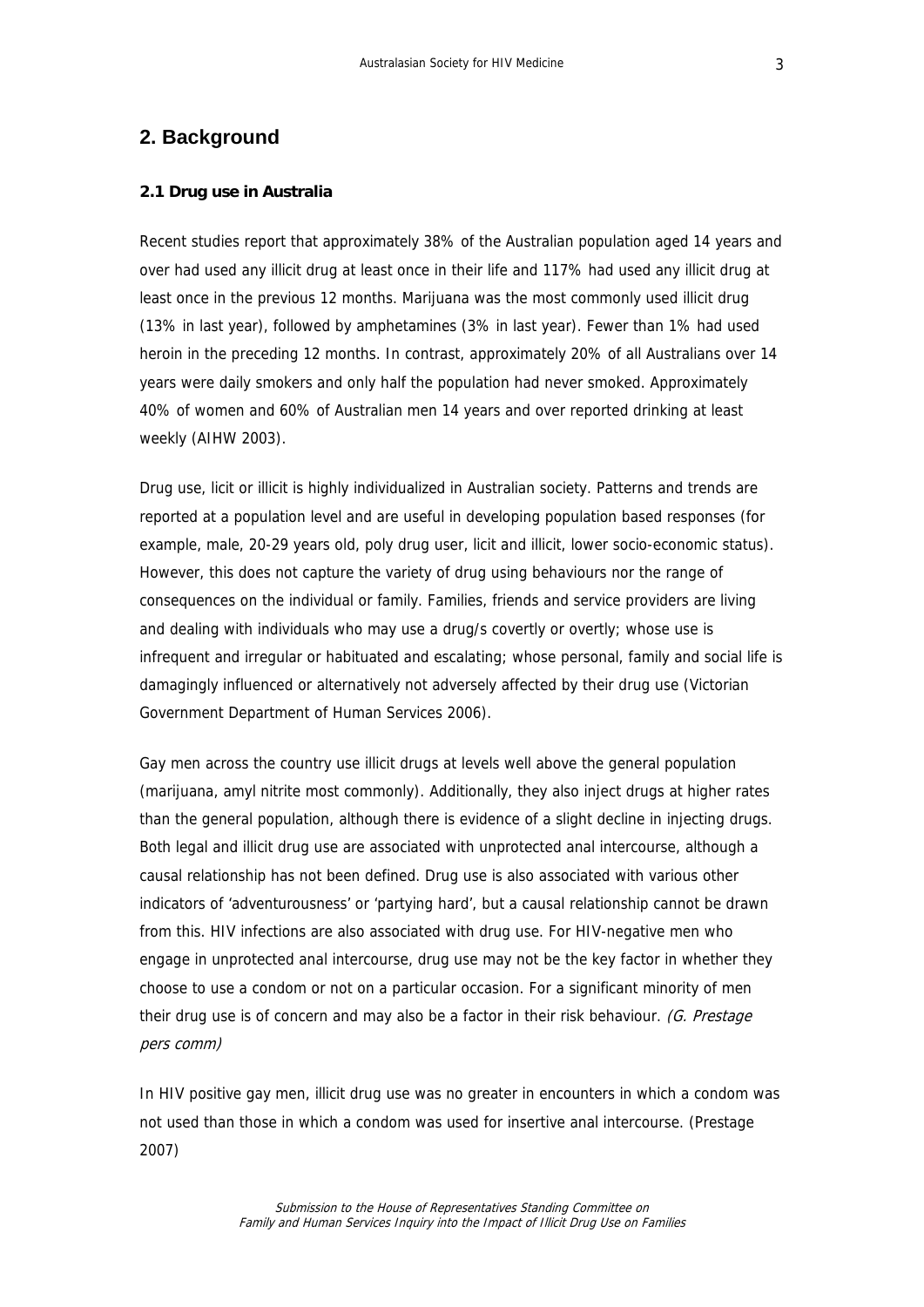### <span id="page-2-0"></span>**2. Background**

#### **2.1 Drug use in Australia**

Recent studies report that approximately 38% of the Australian population aged 14 years and over had used any illicit drug at least once in their life and 117% had used any illicit drug at least once in the previous 12 months. Marijuana was the most commonly used illicit drug (13% in last year), followed by amphetamines (3% in last year). Fewer than 1% had used heroin in the preceding 12 months. In contrast, approximately 20% of all Australians over 14 years were daily smokers and only half the population had never smoked. Approximately 40% of women and 60% of Australian men 14 years and over reported drinking at least weekly (AIHW 2003).

Drug use, licit or illicit is highly individualized in Australian society. Patterns and trends are reported at a population level and are useful in developing population based responses (for example, male, 20-29 years old, poly drug user, licit and illicit, lower socio-economic status). However, this does not capture the variety of drug using behaviours nor the range of consequences on the individual or family. Families, friends and service providers are living and dealing with individuals who may use a drug/s covertly or overtly; whose use is infrequent and irregular or habituated and escalating; whose personal, family and social life is damagingly influenced or alternatively not adversely affected by their drug use (Victorian Government Department of Human Services 2006).

Gay men across the country use illicit drugs at levels well above the general population (marijuana, amyl nitrite most commonly). Additionally, they also inject drugs at higher rates than the general population, although there is evidence of a slight decline in injecting drugs. Both legal and illicit drug use are associated with unprotected anal intercourse, although a causal relationship has not been defined. Drug use is also associated with various other indicators of 'adventurousness' or 'partying hard', but a causal relationship cannot be drawn from this. HIV infections are also associated with drug use. For HIV-negative men who engage in unprotected anal intercourse, drug use may not be the key factor in whether they choose to use a condom or not on a particular occasion. For a significant minority of men their drug use is of concern and may also be a factor in their risk behaviour. (G. Prestage pers comm)

In HIV positive gay men, illicit drug use was no greater in encounters in which a condom was not used than those in which a condom was used for insertive anal intercourse. (Prestage 2007)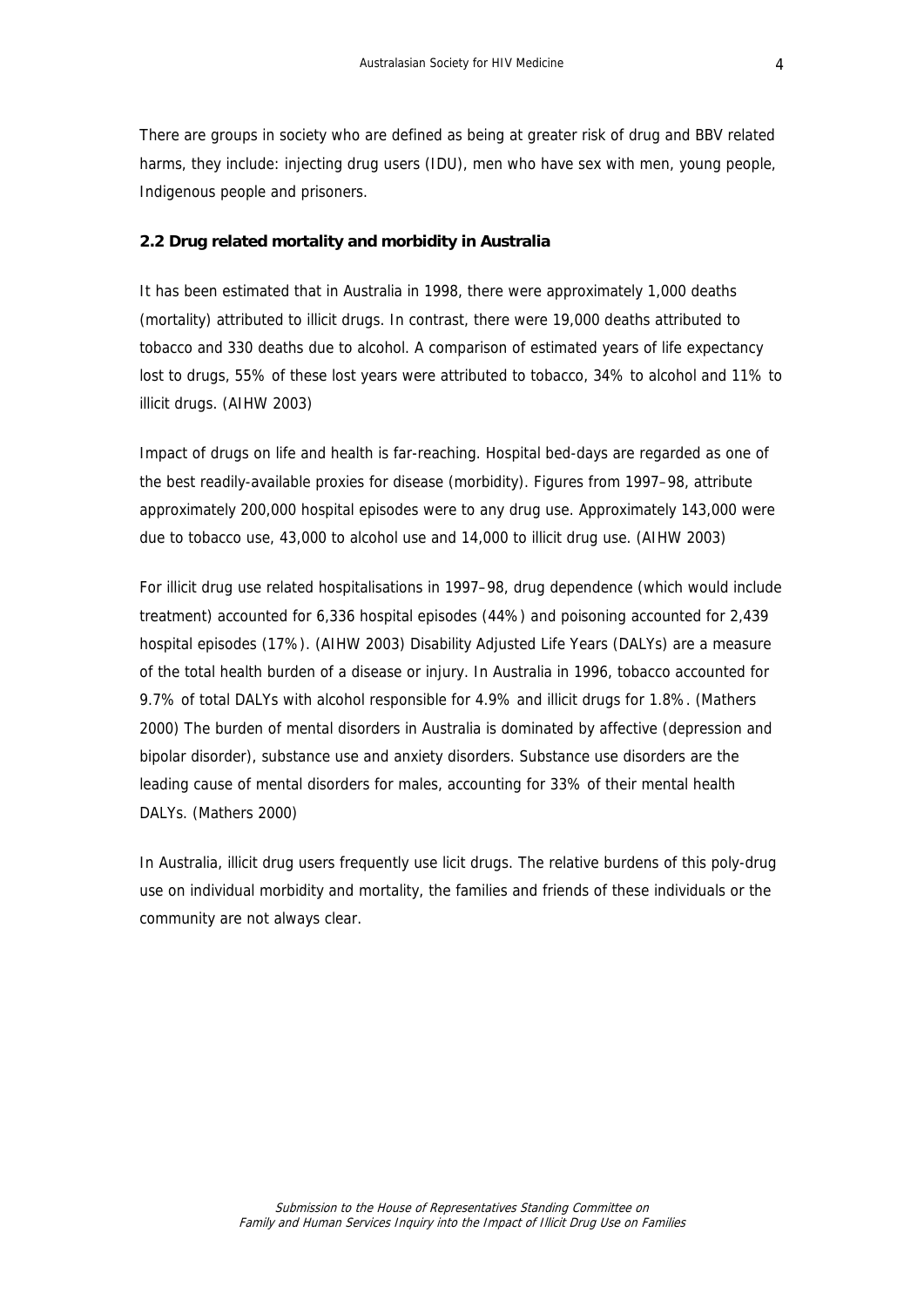<span id="page-3-0"></span>There are groups in society who are defined as being at greater risk of drug and BBV related harms, they include: injecting drug users (IDU), men who have sex with men, young people, Indigenous people and prisoners.

#### **2.2 Drug related mortality and morbidity in Australia**

It has been estimated that in Australia in 1998, there were approximately 1,000 deaths (mortality) attributed to illicit drugs. In contrast, there were 19,000 deaths attributed to tobacco and 330 deaths due to alcohol. A comparison of estimated years of life expectancy lost to drugs, 55% of these lost years were attributed to tobacco, 34% to alcohol and 11% to illicit drugs. (AIHW 2003)

Impact of drugs on life and health is far-reaching. Hospital bed-days are regarded as one of the best readily-available proxies for disease (morbidity). Figures from 1997–98, attribute approximately 200,000 hospital episodes were to any drug use. Approximately 143,000 were due to tobacco use, 43,000 to alcohol use and 14,000 to illicit drug use. (AIHW 2003)

For illicit drug use related hospitalisations in 1997–98, drug dependence (which would include treatment) accounted for 6,336 hospital episodes (44%) and poisoning accounted for 2,439 hospital episodes (17%). (AIHW 2003) Disability Adjusted Life Years (DALYs) are a measure of the total health burden of a disease or injury. In Australia in 1996, tobacco accounted for 9.7% of total DALYs with alcohol responsible for 4.9% and illicit drugs for 1.8%. (Mathers 2000) The burden of mental disorders in Australia is dominated by affective (depression and bipolar disorder), substance use and anxiety disorders. Substance use disorders are the leading cause of mental disorders for males, accounting for 33% of their mental health DALYs. (Mathers 2000)

In Australia, illicit drug users frequently use licit drugs. The relative burdens of this poly-drug use on individual morbidity and mortality, the families and friends of these individuals or the community are not always clear.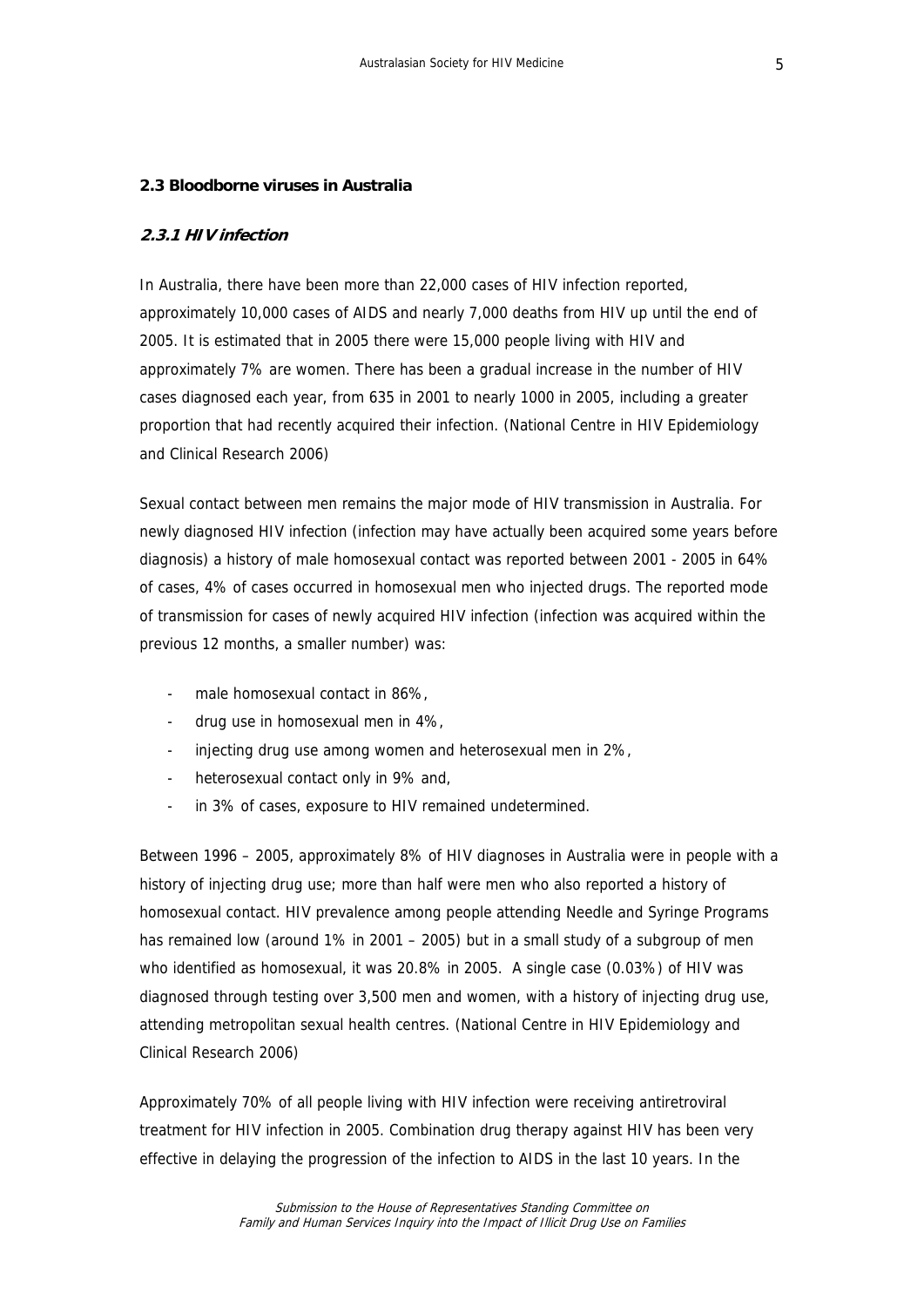#### <span id="page-4-0"></span>**2.3 Bloodborne viruses in Australia**

#### **2.3.1 HIV infection**

In Australia, there have been more than 22,000 cases of HIV infection reported, approximately 10,000 cases of AIDS and nearly 7,000 deaths from HIV up until the end of 2005. It is estimated that in 2005 there were 15,000 people living with HIV and approximately 7% are women. There has been a gradual increase in the number of HIV cases diagnosed each year, from 635 in 2001 to nearly 1000 in 2005, including a greater proportion that had recently acquired their infection. (National Centre in HIV Epidemiology and Clinical Research 2006)

Sexual contact between men remains the major mode of HIV transmission in Australia. For newly diagnosed HIV infection (infection may have actually been acquired some years before diagnosis) a history of male homosexual contact was reported between 2001 - 2005 in 64% of cases, 4% of cases occurred in homosexual men who injected drugs. The reported mode of transmission for cases of newly acquired HIV infection (infection was acquired within the previous 12 months, a smaller number) was:

- male homosexual contact in 86%,
- drug use in homosexual men in 4%,
- injecting drug use among women and heterosexual men in 2%,
- heterosexual contact only in 9% and,
- in 3% of cases, exposure to HIV remained undetermined.

Between 1996 – 2005, approximately 8% of HIV diagnoses in Australia were in people with a history of injecting drug use; more than half were men who also reported a history of homosexual contact. HIV prevalence among people attending Needle and Syringe Programs has remained low (around 1% in 2001 – 2005) but in a small study of a subgroup of men who identified as homosexual, it was 20.8% in 2005. A single case (0.03%) of HIV was diagnosed through testing over 3,500 men and women, with a history of injecting drug use, attending metropolitan sexual health centres. (National Centre in HIV Epidemiology and Clinical Research 2006)

Approximately 70% of all people living with HIV infection were receiving antiretroviral treatment for HIV infection in 2005. Combination drug therapy against HIV has been very effective in delaying the progression of the infection to AIDS in the last 10 years. In the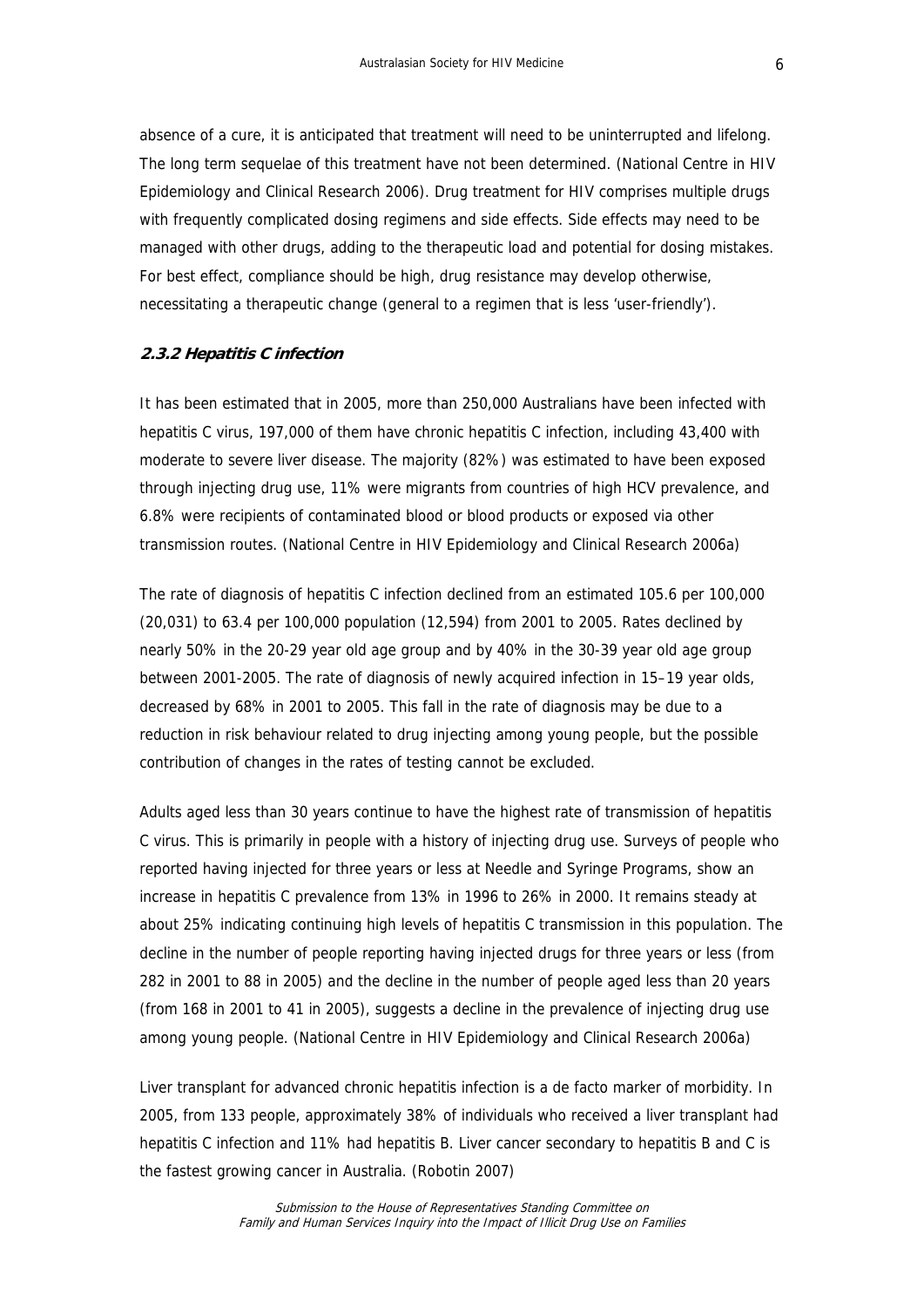absence of a cure, it is anticipated that treatment will need to be uninterrupted and lifelong. The long term sequelae of this treatment have not been determined. (National Centre in HIV Epidemiology and Clinical Research 2006). Drug treatment for HIV comprises multiple drugs with frequently complicated dosing regimens and side effects. Side effects may need to be managed with other drugs, adding to the therapeutic load and potential for dosing mistakes. For best effect, compliance should be high, drug resistance may develop otherwise, necessitating a therapeutic change (general to a regimen that is less 'user-friendly').

#### **2.3.2 Hepatitis C infection**

It has been estimated that in 2005, more than 250,000 Australians have been infected with hepatitis C virus, 197,000 of them have chronic hepatitis C infection, including 43,400 with moderate to severe liver disease. The majority (82%) was estimated to have been exposed through injecting drug use, 11% were migrants from countries of high HCV prevalence, and 6.8% were recipients of contaminated blood or blood products or exposed via other transmission routes. (National Centre in HIV Epidemiology and Clinical Research 2006a)

The rate of diagnosis of hepatitis C infection declined from an estimated 105.6 per 100,000 (20,031) to 63.4 per 100,000 population (12,594) from 2001 to 2005. Rates declined by nearly 50% in the 20-29 year old age group and by 40% in the 30-39 year old age group between 2001-2005. The rate of diagnosis of newly acquired infection in 15–19 year olds, decreased by 68% in 2001 to 2005. This fall in the rate of diagnosis may be due to a reduction in risk behaviour related to drug injecting among young people, but the possible contribution of changes in the rates of testing cannot be excluded.

Adults aged less than 30 years continue to have the highest rate of transmission of hepatitis C virus. This is primarily in people with a history of injecting drug use. Surveys of people who reported having injected for three years or less at Needle and Syringe Programs, show an increase in hepatitis C prevalence from 13% in 1996 to 26% in 2000. It remains steady at about 25% indicating continuing high levels of hepatitis C transmission in this population. The decline in the number of people reporting having injected drugs for three years or less (from 282 in 2001 to 88 in 2005) and the decline in the number of people aged less than 20 years (from 168 in 2001 to 41 in 2005), suggests a decline in the prevalence of injecting drug use among young people. (National Centre in HIV Epidemiology and Clinical Research 2006a)

Liver transplant for advanced chronic hepatitis infection is a de facto marker of morbidity. In 2005, from 133 people, approximately 38% of individuals who received a liver transplant had hepatitis C infection and 11% had hepatitis B. Liver cancer secondary to hepatitis B and C is the fastest growing cancer in Australia. (Robotin 2007)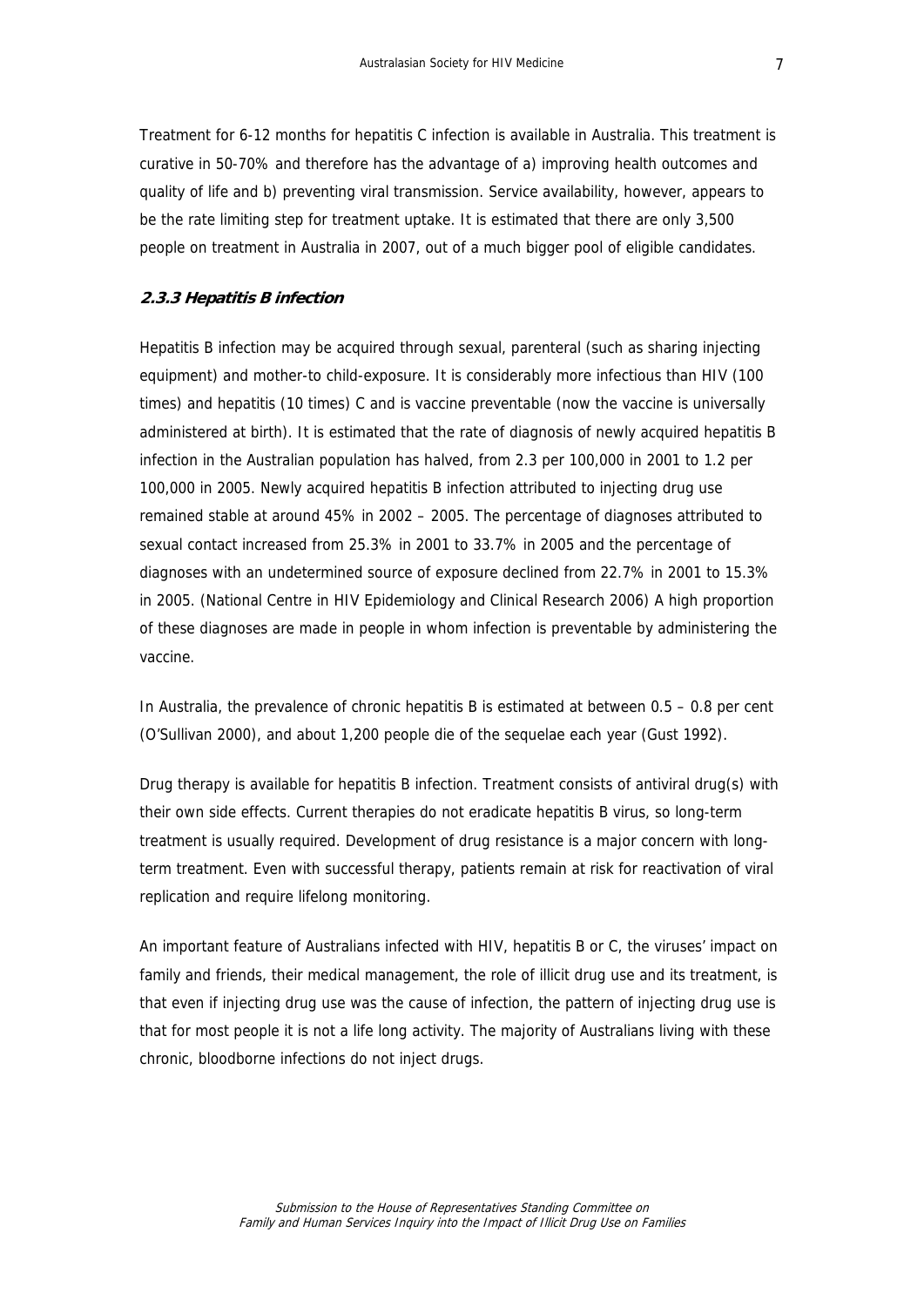Treatment for 6-12 months for hepatitis C infection is available in Australia. This treatment is curative in 50-70% and therefore has the advantage of a) improving health outcomes and quality of life and b) preventing viral transmission. Service availability, however, appears to be the rate limiting step for treatment uptake. It is estimated that there are only 3,500 people on treatment in Australia in 2007, out of a much bigger pool of eligible candidates.

#### **2.3.3 Hepatitis B infection**

Hepatitis B infection may be acquired through sexual, parenteral (such as sharing injecting equipment) and mother-to child-exposure. It is considerably more infectious than HIV (100 times) and hepatitis (10 times) C and is vaccine preventable (now the vaccine is universally administered at birth). It is estimated that the rate of diagnosis of newly acquired hepatitis B infection in the Australian population has halved, from 2.3 per 100,000 in 2001 to 1.2 per 100,000 in 2005. Newly acquired hepatitis B infection attributed to injecting drug use remained stable at around 45% in 2002 – 2005. The percentage of diagnoses attributed to sexual contact increased from 25.3% in 2001 to 33.7% in 2005 and the percentage of diagnoses with an undetermined source of exposure declined from 22.7% in 2001 to 15.3% in 2005. (National Centre in HIV Epidemiology and Clinical Research 2006) A high proportion of these diagnoses are made in people in whom infection is preventable by administering the vaccine.

In Australia, the prevalence of chronic hepatitis B is estimated at between  $0.5 - 0.8$  per cent (O'Sullivan 2000), and about 1,200 people die of the sequelae each year (Gust 1992).

Drug therapy is available for hepatitis B infection. Treatment consists of antiviral drug(s) with their own side effects. Current therapies do not eradicate hepatitis B virus, so long-term treatment is usually required. Development of drug resistance is a major concern with longterm treatment. Even with successful therapy, patients remain at risk for reactivation of viral replication and require lifelong monitoring.

An important feature of Australians infected with HIV, hepatitis B or C, the viruses' impact on family and friends, their medical management, the role of illicit drug use and its treatment, is that even if injecting drug use was the cause of infection, the pattern of injecting drug use is that for most people it is not a life long activity. The majority of Australians living with these chronic, bloodborne infections do not inject drugs.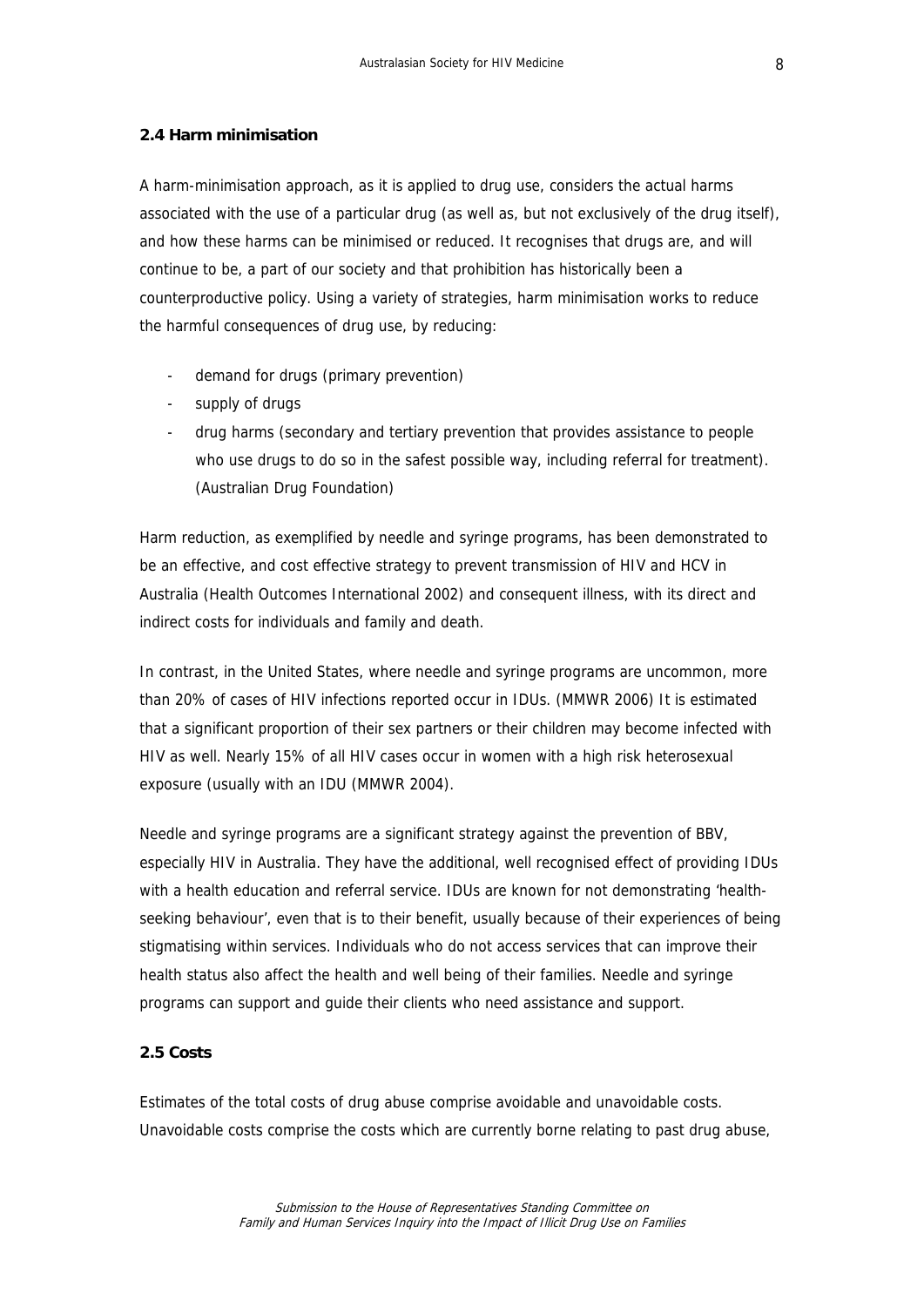#### <span id="page-7-0"></span>**2.4 Harm minimisation**

A harm-minimisation approach, as it is applied to drug use, considers the actual harms associated with the use of a particular drug (as well as, but not exclusively of the drug itself), and how these harms can be minimised or reduced. It recognises that drugs are, and will continue to be, a part of our society and that prohibition has historically been a counterproductive policy. Using a variety of strategies, harm minimisation works to reduce the harmful consequences of drug use, by reducing:

- demand for drugs (primary prevention)
- supply of drugs
- drug harms (secondary and tertiary prevention that provides assistance to people who use drugs to do so in the safest possible way, including referral for treatment). (Australian Drug Foundation)

Harm reduction, as exemplified by needle and syringe programs, has been demonstrated to be an effective, and cost effective strategy to prevent transmission of HIV and HCV in Australia (Health Outcomes International 2002) and consequent illness, with its direct and indirect costs for individuals and family and death.

In contrast, in the United States, where needle and syringe programs are uncommon, more than 20% of cases of HIV infections reported occur in IDUs. (MMWR 2006) It is estimated that a significant proportion of their sex partners or their children may become infected with HIV as well. Nearly 15% of all HIV cases occur in women with a high risk heterosexual exposure (usually with an IDU (MMWR 2004).

Needle and syringe programs are a significant strategy against the prevention of BBV, especially HIV in Australia. They have the additional, well recognised effect of providing IDUs with a health education and referral service. IDUs are known for not demonstrating 'healthseeking behaviour', even that is to their benefit, usually because of their experiences of being stigmatising within services. Individuals who do not access services that can improve their health status also affect the health and well being of their families. Needle and syringe programs can support and guide their clients who need assistance and support.

### **2.5 Costs**

Estimates of the total costs of drug abuse comprise avoidable and unavoidable costs. Unavoidable costs comprise the costs which are currently borne relating to past drug abuse,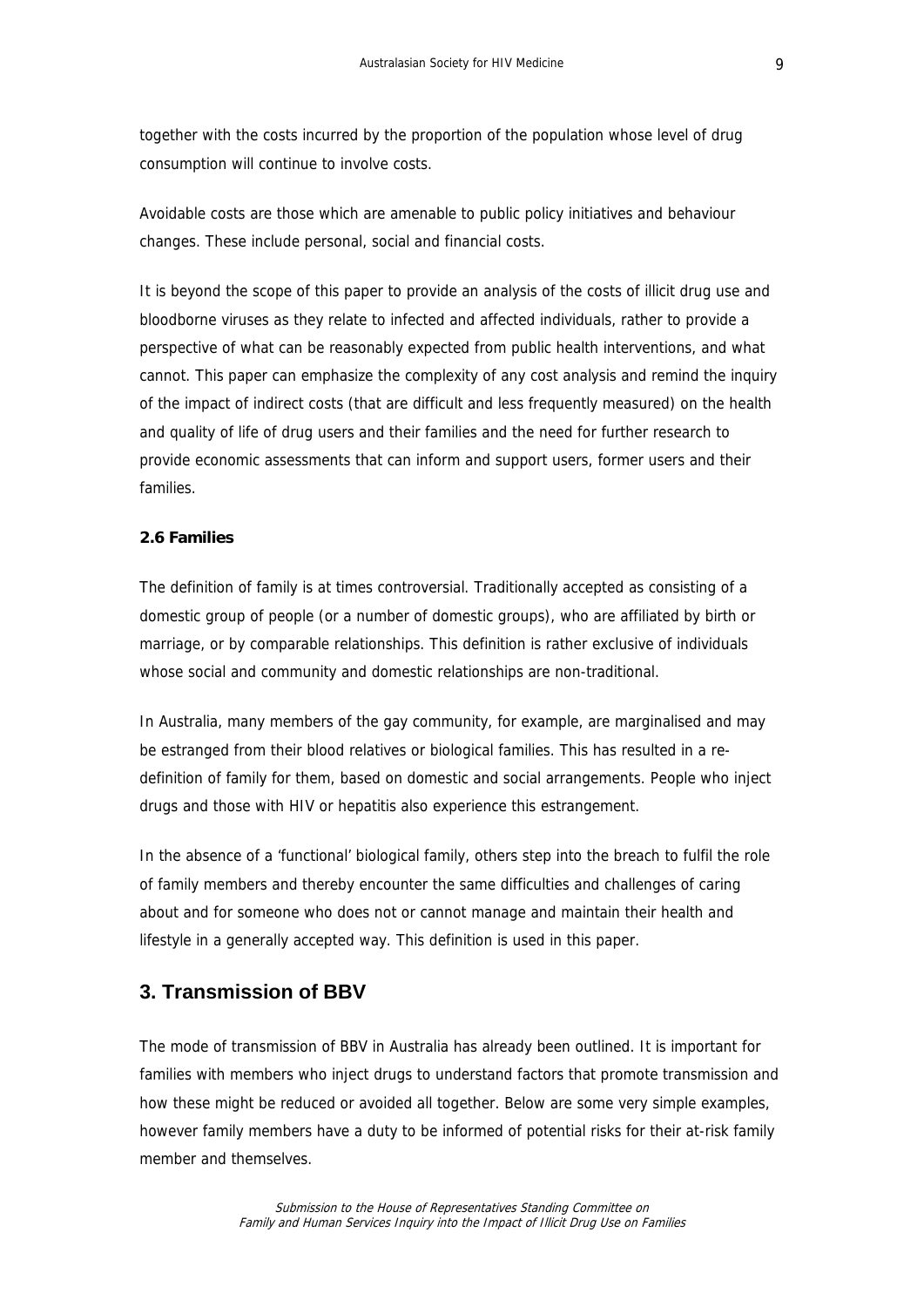<span id="page-8-0"></span>together with the costs incurred by the proportion of the population whose level of drug consumption will continue to involve costs.

Avoidable costs are those which are amenable to public policy initiatives and behaviour changes. These include personal, social and financial costs.

It is beyond the scope of this paper to provide an analysis of the costs of illicit drug use and bloodborne viruses as they relate to infected and affected individuals, rather to provide a perspective of what can be reasonably expected from public health interventions, and what cannot. This paper can emphasize the complexity of any cost analysis and remind the inquiry of the impact of indirect costs (that are difficult and less frequently measured) on the health and quality of life of drug users and their families and the need for further research to provide economic assessments that can inform and support users, former users and their families.

### **2.6 Families**

The definition of family is at times controversial. Traditionally accepted as consisting of a domestic group of people (or a number of domestic groups), who are affiliated by birth or marriage, or by comparable relationships. This definition is rather exclusive of individuals whose social and community and domestic relationships are non-traditional.

In Australia, many members of the gay community, for example, are marginalised and may be estranged from their blood relatives or biological families. This has resulted in a redefinition of family for them, based on domestic and social arrangements. People who inject drugs and those with HIV or hepatitis also experience this estrangement.

In the absence of a 'functional' biological family, others step into the breach to fulfil the role of family members and thereby encounter the same difficulties and challenges of caring about and for someone who does not or cannot manage and maintain their health and lifestyle in a generally accepted way. This definition is used in this paper.

## **3. Transmission of BBV**

The mode of transmission of BBV in Australia has already been outlined. It is important for families with members who inject drugs to understand factors that promote transmission and how these might be reduced or avoided all together. Below are some very simple examples, however family members have a duty to be informed of potential risks for their at-risk family member and themselves.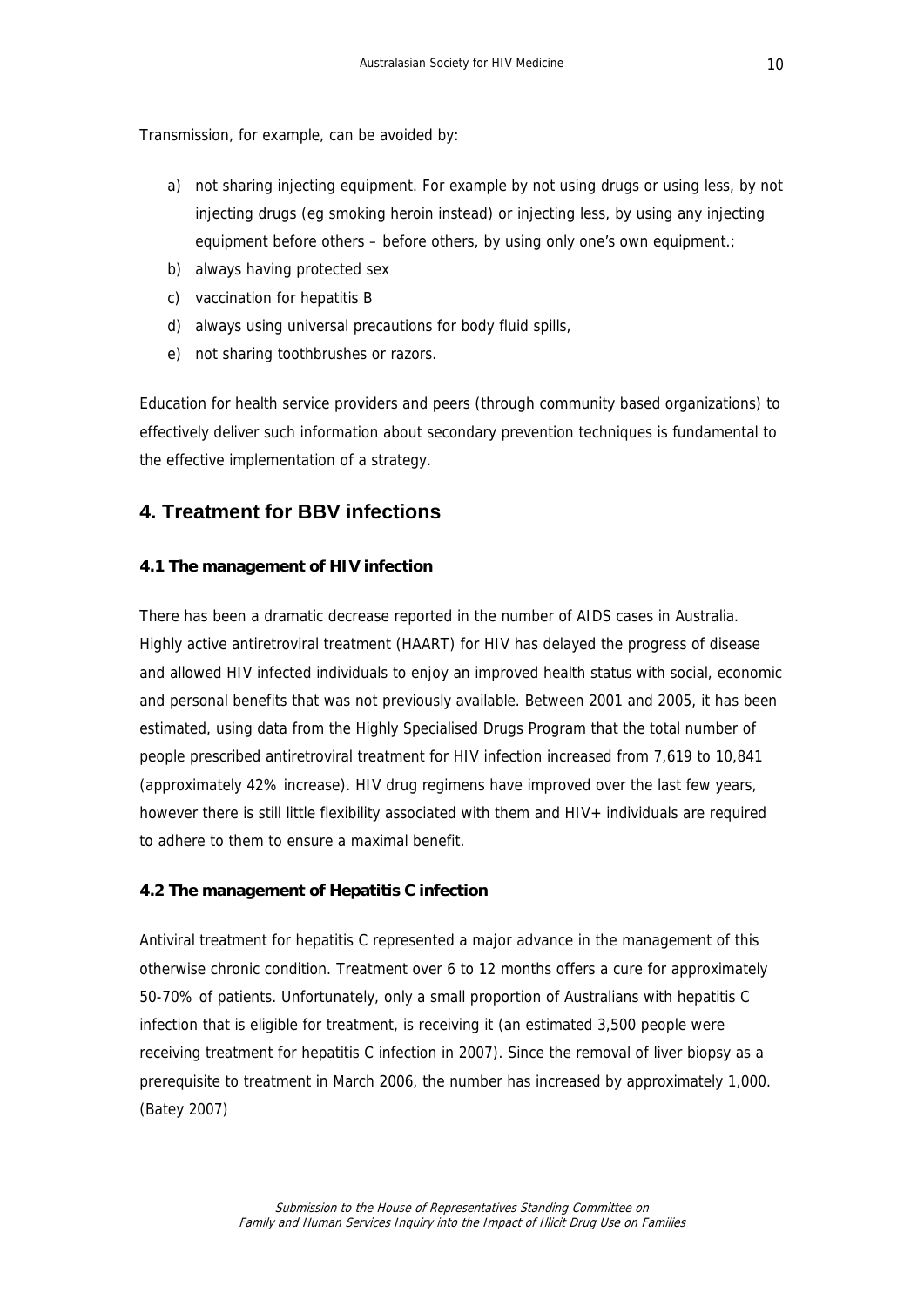<span id="page-9-0"></span>Transmission, for example, can be avoided by:

- a) not sharing injecting equipment. For example by not using drugs or using less, by not injecting drugs (eg smoking heroin instead) or injecting less, by using any injecting equipment before others – before others, by using only one's own equipment.;
- b) always having protected sex
- c) vaccination for hepatitis B
- d) always using universal precautions for body fluid spills,
- e) not sharing toothbrushes or razors.

Education for health service providers and peers (through community based organizations) to effectively deliver such information about secondary prevention techniques is fundamental to the effective implementation of a strategy.

# **4. Treatment for BBV infections**

### **4.1 The management of HIV infection**

There has been a dramatic decrease reported in the number of AIDS cases in Australia. Highly active antiretroviral treatment (HAART) for HIV has delayed the progress of disease and allowed HIV infected individuals to enjoy an improved health status with social, economic and personal benefits that was not previously available. Between 2001 and 2005, it has been estimated, using data from the Highly Specialised Drugs Program that the total number of people prescribed antiretroviral treatment for HIV infection increased from 7,619 to 10,841 (approximately 42% increase). HIV drug regimens have improved over the last few years, however there is still little flexibility associated with them and HIV+ individuals are required to adhere to them to ensure a maximal benefit.

### **4.2 The management of Hepatitis C infection**

Antiviral treatment for hepatitis C represented a major advance in the management of this otherwise chronic condition. Treatment over 6 to 12 months offers a cure for approximately 50-70% of patients. Unfortunately, only a small proportion of Australians with hepatitis C infection that is eligible for treatment, is receiving it (an estimated 3,500 people were receiving treatment for hepatitis C infection in 2007). Since the removal of liver biopsy as a prerequisite to treatment in March 2006, the number has increased by approximately 1,000. (Batey 2007)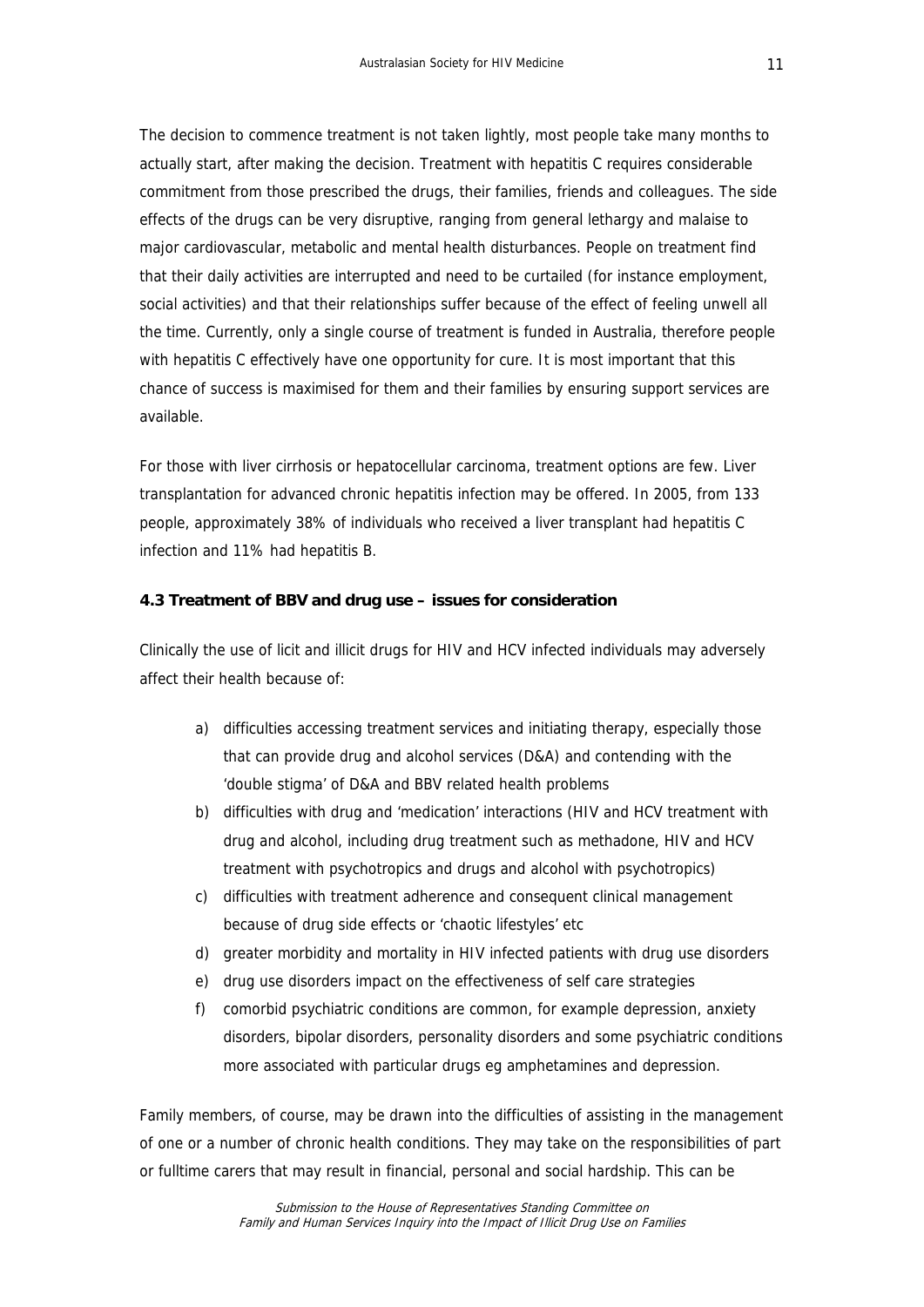<span id="page-10-0"></span>The decision to commence treatment is not taken lightly, most people take many months to actually start, after making the decision. Treatment with hepatitis C requires considerable commitment from those prescribed the drugs, their families, friends and colleagues. The side effects of the drugs can be very disruptive, ranging from general lethargy and malaise to major cardiovascular, metabolic and mental health disturbances. People on treatment find that their daily activities are interrupted and need to be curtailed (for instance employment, social activities) and that their relationships suffer because of the effect of feeling unwell all the time. Currently, only a single course of treatment is funded in Australia, therefore people with hepatitis C effectively have one opportunity for cure. It is most important that this chance of success is maximised for them and their families by ensuring support services are available.

For those with liver cirrhosis or hepatocellular carcinoma, treatment options are few. Liver transplantation for advanced chronic hepatitis infection may be offered. In 2005, from 133 people, approximately 38% of individuals who received a liver transplant had hepatitis C infection and 11% had hepatitis B.

#### **4.3 Treatment of BBV and drug use – issues for consideration**

Clinically the use of licit and illicit drugs for HIV and HCV infected individuals may adversely affect their health because of:

- a) difficulties accessing treatment services and initiating therapy, especially those that can provide drug and alcohol services (D&A) and contending with the 'double stigma' of D&A and BBV related health problems
- b) difficulties with drug and 'medication' interactions (HIV and HCV treatment with drug and alcohol, including drug treatment such as methadone, HIV and HCV treatment with psychotropics and drugs and alcohol with psychotropics)
- c) difficulties with treatment adherence and consequent clinical management because of drug side effects or 'chaotic lifestyles' etc
- d) greater morbidity and mortality in HIV infected patients with drug use disorders
- e) drug use disorders impact on the effectiveness of self care strategies
- f) comorbid psychiatric conditions are common, for example depression, anxiety disorders, bipolar disorders, personality disorders and some psychiatric conditions more associated with particular drugs eg amphetamines and depression.

Family members, of course, may be drawn into the difficulties of assisting in the management of one or a number of chronic health conditions. They may take on the responsibilities of part or fulltime carers that may result in financial, personal and social hardship. This can be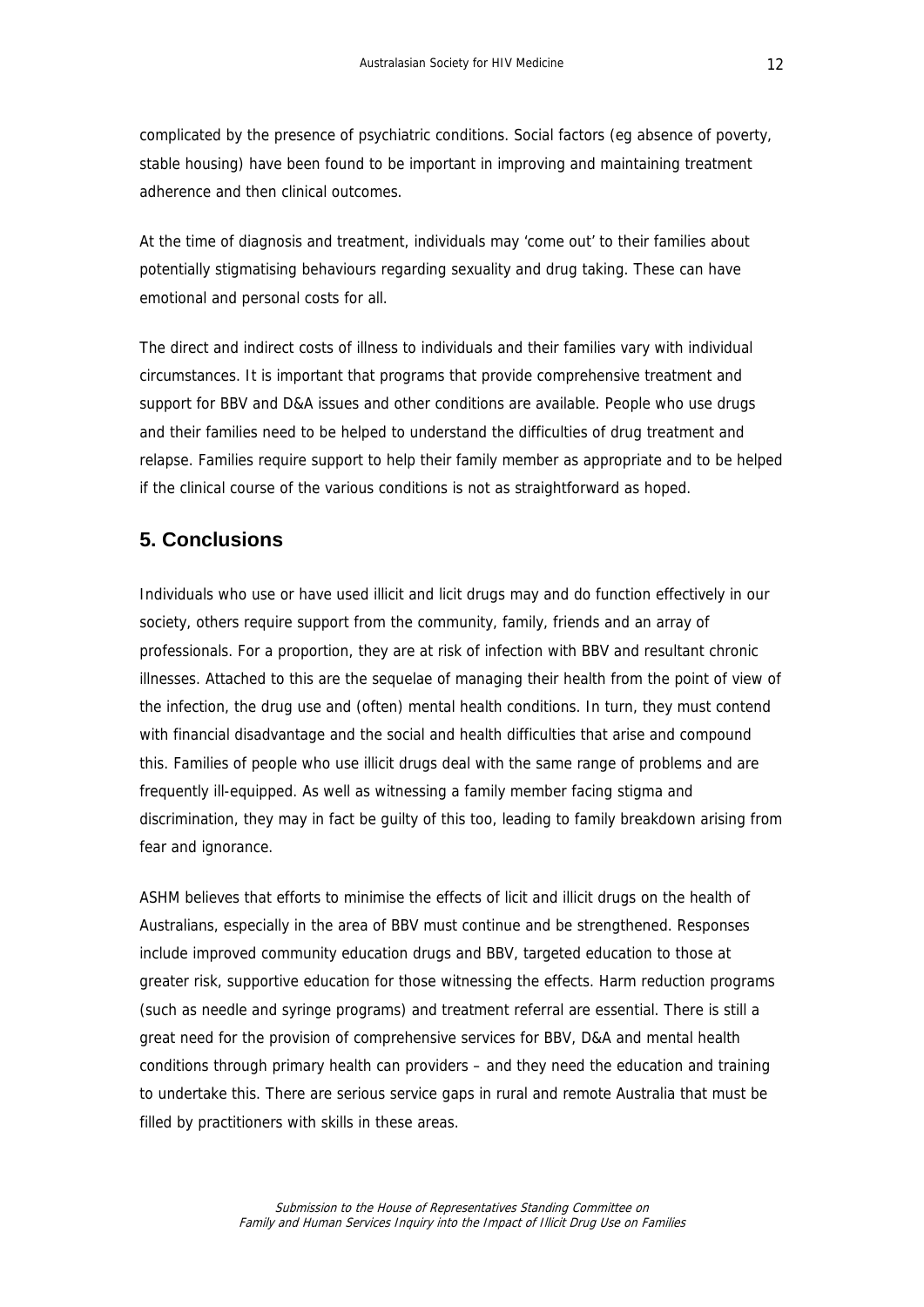<span id="page-11-0"></span>complicated by the presence of psychiatric conditions. Social factors (eg absence of poverty, stable housing) have been found to be important in improving and maintaining treatment adherence and then clinical outcomes.

At the time of diagnosis and treatment, individuals may 'come out' to their families about potentially stigmatising behaviours regarding sexuality and drug taking. These can have emotional and personal costs for all.

The direct and indirect costs of illness to individuals and their families vary with individual circumstances. It is important that programs that provide comprehensive treatment and support for BBV and D&A issues and other conditions are available. People who use drugs and their families need to be helped to understand the difficulties of drug treatment and relapse. Families require support to help their family member as appropriate and to be helped if the clinical course of the various conditions is not as straightforward as hoped.

## **5. Conclusions**

Individuals who use or have used illicit and licit drugs may and do function effectively in our society, others require support from the community, family, friends and an array of professionals. For a proportion, they are at risk of infection with BBV and resultant chronic illnesses. Attached to this are the sequelae of managing their health from the point of view of the infection, the drug use and (often) mental health conditions. In turn, they must contend with financial disadvantage and the social and health difficulties that arise and compound this. Families of people who use illicit drugs deal with the same range of problems and are frequently ill-equipped. As well as witnessing a family member facing stigma and discrimination, they may in fact be guilty of this too, leading to family breakdown arising from fear and ignorance.

ASHM believes that efforts to minimise the effects of licit and illicit drugs on the health of Australians, especially in the area of BBV must continue and be strengthened. Responses include improved community education drugs and BBV, targeted education to those at greater risk, supportive education for those witnessing the effects. Harm reduction programs (such as needle and syringe programs) and treatment referral are essential. There is still a great need for the provision of comprehensive services for BBV, D&A and mental health conditions through primary health can providers – and they need the education and training to undertake this. There are serious service gaps in rural and remote Australia that must be filled by practitioners with skills in these areas.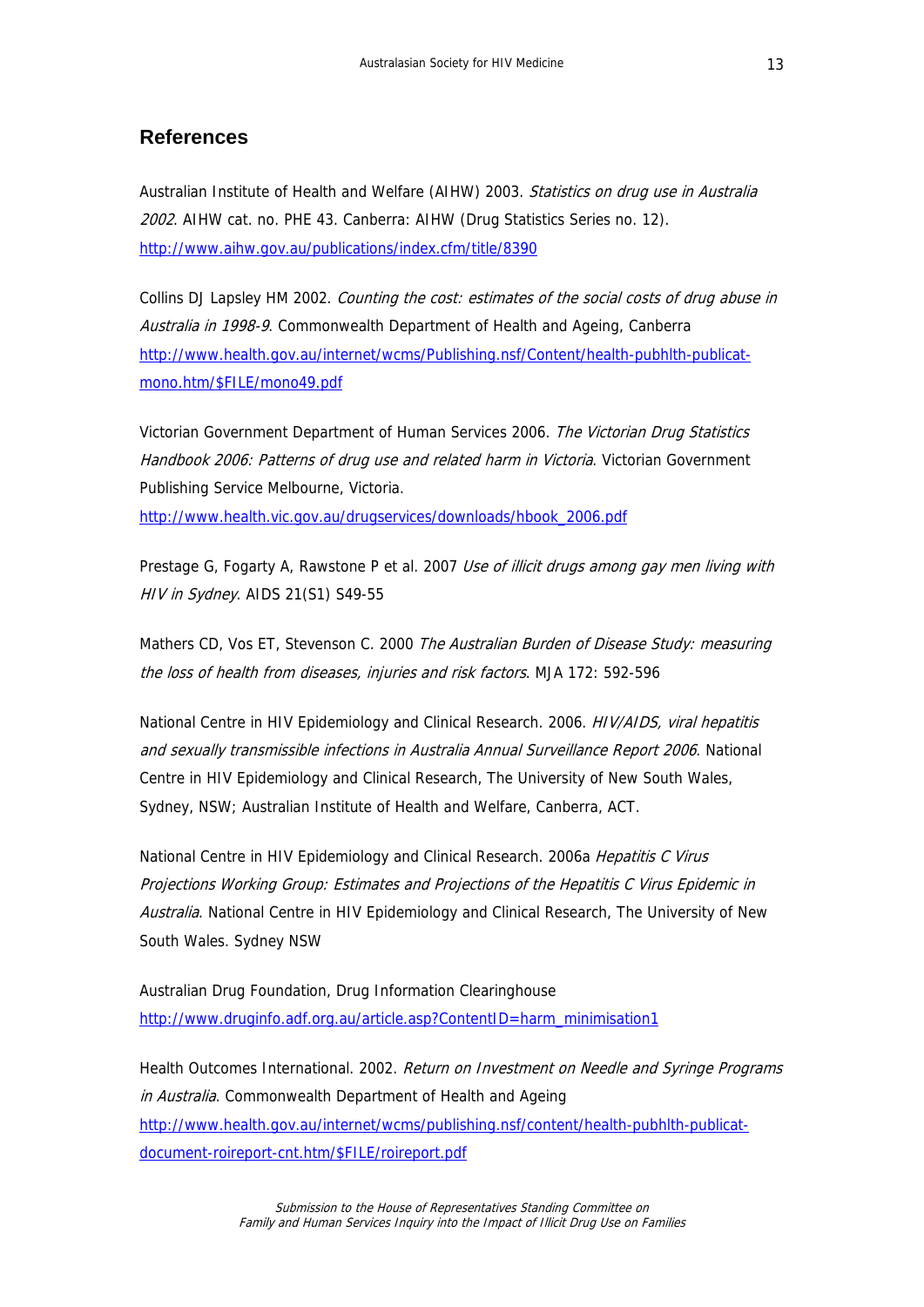# <span id="page-12-0"></span>**References**

Australian Institute of Health and Welfare (AIHW) 2003. Statistics on drug use in Australia 2002. AIHW cat. no. PHE 43. Canberra: AIHW (Drug Statistics Series no. 12). <http://www.aihw.gov.au/publications/index.cfm/title/8390>

Collins DJ Lapsley HM 2002. Counting the cost: estimates of the social costs of drug abuse in Australia in 1998-9. Commonwealth Department of Health and Ageing, Canberra [http://www.health.gov.au/internet/wcms/Publishing.nsf/Content/health-pubhlth-publicat](http://www.health.gov.au/internet/wcms/Publishing.nsf/Content/health-pubhlth-publicat-mono.htm/$FILE/mono49.pdf)[mono.htm/\\$FILE/mono49.pdf](http://www.health.gov.au/internet/wcms/Publishing.nsf/Content/health-pubhlth-publicat-mono.htm/$FILE/mono49.pdf)

Victorian Government Department of Human Services 2006. The Victorian Drug Statistics Handbook 2006: Patterns of drug use and related harm in Victoria. Victorian Government Publishing Service Melbourne, Victoria.

[http://www.health.vic.gov.au/drugservices/downloads/hbook\\_2006.pdf](http://www.health.vic.gov.au/drugservices/downloads/hbook_2006.pdf)

Prestage G, Fogarty A, Rawstone P et al. 2007 Use of illicit drugs among gay men living with HIV in Sydney. AIDS 21(S1) S49-55

Mathers CD, Vos ET, Stevenson C. 2000 The Australian Burden of Disease Study: measuring the loss of health from diseases, injuries and risk factors. MJA 172: 592-596

National Centre in HIV Epidemiology and Clinical Research. 2006. *HIV/AIDS, viral hepatitis* and sexually transmissible infections in Australia Annual Surveillance Report 2006. National Centre in HIV Epidemiology and Clinical Research, The University of New South Wales, Sydney, NSW; Australian Institute of Health and Welfare, Canberra, ACT.

National Centre in HIV Epidemiology and Clinical Research. 2006a Hepatitis C Virus Projections Working Group: Estimates and Projections of the Hepatitis C Virus Epidemic in Australia. National Centre in HIV Epidemiology and Clinical Research, The University of New South Wales. Sydney NSW

Australian Drug Foundation, Drug Information Clearinghouse [http://www.druginfo.adf.org.au/article.asp?ContentID=harm\\_minimisation1](http://www.druginfo.adf.org.au/article.asp?ContentID=harm_minimisation1)

Health Outcomes International. 2002. Return on Investment on Needle and Syringe Programs in Australia. Commonwealth Department of Health and Ageing [http://www.health.gov.au/internet/wcms/publishing.nsf/content/health-pubhlth-publicat](http://www.health.gov.au/internet/wcms/publishing.nsf/content/health-pubhlth-publicat-document-roireport-cnt.htm/$FILE/roireport.pdf)[document-roireport-cnt.htm/\\$FILE/roireport.pdf](http://www.health.gov.au/internet/wcms/publishing.nsf/content/health-pubhlth-publicat-document-roireport-cnt.htm/$FILE/roireport.pdf)

> Submission to the House of Representatives Standing Committee on Family and Human Services Inquiry into the Impact of Illicit Drug Use on Families